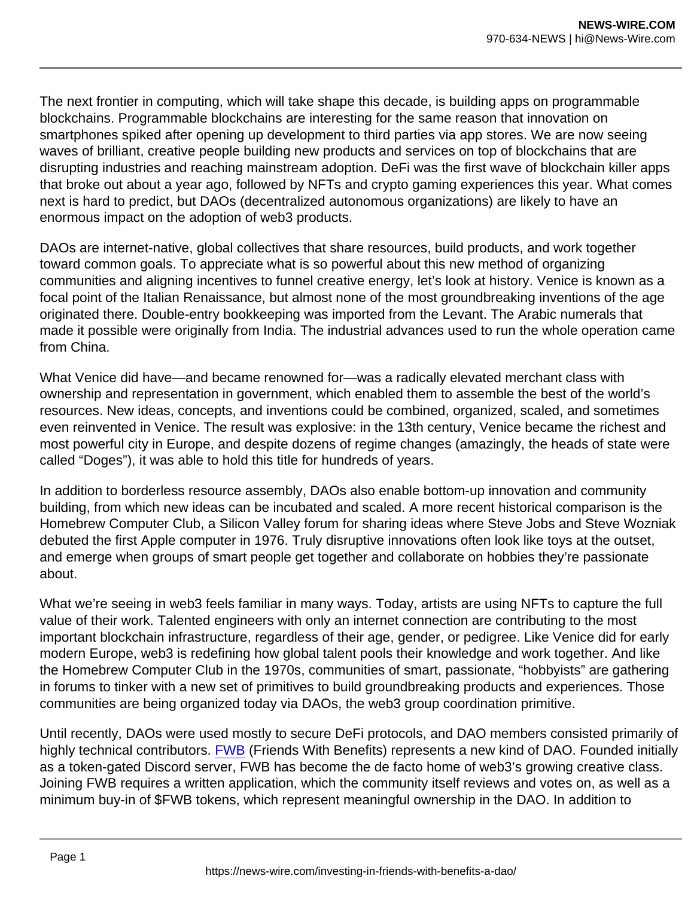The next frontier in computing, which will take shape this decade, is building apps on programmable blockchains. Programmable blockchains are interesting for the same reason that innovation on smartphones spiked after opening up development to third parties via app stores. We are now seeing waves of brilliant, creative people building new products and services on top of blockchains that are disrupting industries and reaching mainstream adoption. DeFi was the first wave of blockchain killer apps that broke out about a year ago, followed by NFTs and crypto gaming experiences this year. What comes next is hard to predict, but DAOs (decentralized autonomous organizations) are likely to have an enormous impact on the adoption of web3 products.

DAOs are internet-native, global collectives that share resources, build products, and work together toward common goals. To appreciate what is so powerful about this new method of organizing communities and aligning incentives to funnel creative energy, let's look at history. Venice is known as a focal point of the Italian Renaissance, but almost none of the most groundbreaking inventions of the age originated there. Double-entry bookkeeping was imported from the Levant. The Arabic numerals that made it possible were originally from India. The industrial advances used to run the whole operation came from China.

What Venice did have—and became renowned for—was a radically elevated merchant class with ownership and representation in government, which enabled them to assemble the best of the world's resources. New ideas, concepts, and inventions could be combined, organized, scaled, and sometimes even reinvented in Venice. The result was explosive: in the 13th century, Venice became the richest and most powerful city in Europe, and despite dozens of regime changes (amazingly, the heads of state were called "Doges"), it was able to hold this title for hundreds of years.

In addition to borderless resource assembly, DAOs also enable bottom-up innovation and community building, from which new ideas can be incubated and scaled. A more recent historical comparison is the Homebrew Computer Club, a Silicon Valley forum for sharing ideas where Steve Jobs and Steve Wozniak debuted the first Apple computer in 1976. Truly disruptive innovations often look like toys at the outset, and emerge when groups of smart people get together and collaborate on hobbies they're passionate about.

What we're seeing in web3 feels familiar in many ways. Today, artists are using NFTs to capture the full value of their work. Talented engineers with only an internet connection are contributing to the most important blockchain infrastructure, regardless of their age, gender, or pedigree. Like Venice did for early modern Europe, web3 is redefining how global talent pools their knowledge and work together. And like the Homebrew Computer Club in the 1970s, communities of smart, passionate, "hobbyists" are gathering in forums to tinker with a new set of primitives to build groundbreaking products and experiences. Those communities are being organized today via DAOs, the web3 group coordination primitive.

Until recently, DAOs were used mostly to secure DeFi protocols, and DAO members consisted primarily of highly technical contributors. [FWB](https://www.fwb.help/) (Friends With Benefits) represents a new kind of DAO. Founded initially as a token-gated Discord server, FWB has become the de facto home of web3's growing creative class. Joining FWB requires a written application, which the community itself reviews and votes on, as well as a minimum buy-in of \$FWB tokens, which represent meaningful ownership in the DAO. In addition to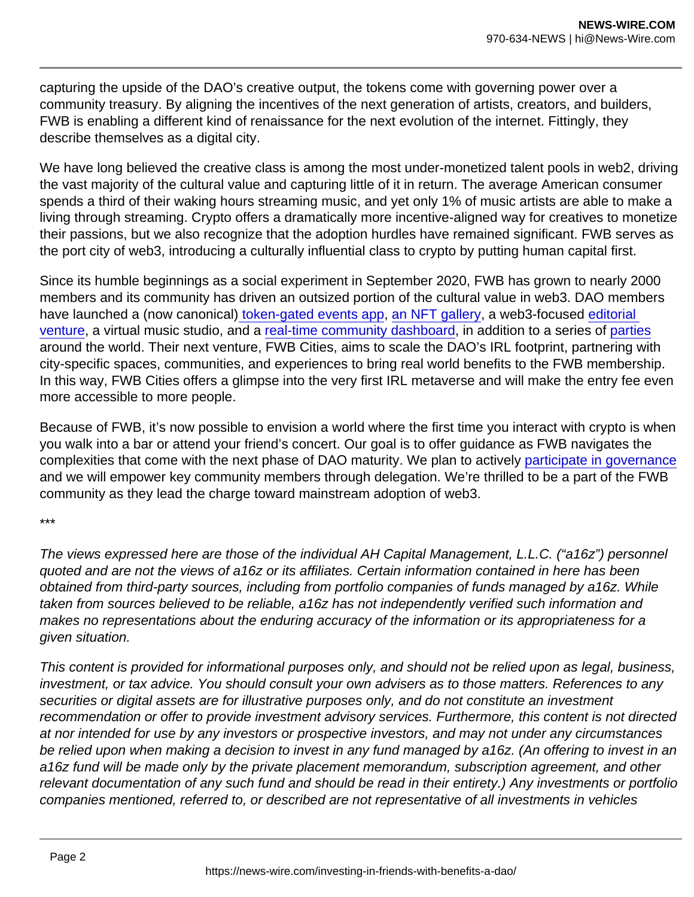capturing the upside of the DAO's creative output, the tokens come with governing power over a community treasury. By aligning the incentives of the next generation of artists, creators, and builders, FWB is enabling a different kind of renaissance for the next evolution of the internet. Fittingly, they describe themselves as a digital city.

We have long believed the creative class is among the most under-monetized talent pools in web2, driving the vast majority of the cultural value and capturing little of it in return. The average American consumer spends a third of their waking hours streaming music, and yet only 1% of music artists are able to make a living through streaming. Crypto offers a dramatically more incentive-aligned way for creatives to monetize their passions, but we also recognize that the adoption hurdles have remained significant. FWB serves as the port city of web3, introducing a culturally influential class to crypto by putting human capital first.

Since its humble beginnings as a social experiment in September 2020, FWB has grown to nearly 2000 members and its community has driven an outsized portion of the cultural value in web3. DAO members have launched a (now canonical[\) token-gated events app](https://fwb.mirror.xyz/XU5_RYsow8fDbbckryr2snNyfrMV8HTJ0N39Cjkfy3s), [an NFT gallery,](https://gallery.fwb.help/) a web3-focused editorial venture, a virtual music studio, and a [real-time community dashboard,](https://www.fwb.help/pulse) in addition to a series of [parties](https://www.fwb.help/wip/fwb-paris) around the world. Their next venture, FWB Cities, aims to scale the DAO's IRL footprint, partnering with city-specific spaces, communities, and experiences to bring real world benefits to the FWB membership. In this way, FWB Cities offers a glimpse into the very first IRL metaverse and will make the entry fee even more accessible to more people.

Because of FWB, it's now possible to envision a world where the first time you interact with crypto is when you walk into a bar or attend your friend's concert. Our goal is to offer guidance as FWB navigates the complexities that come with the next phase of DAO maturity. We plan to actively [participate in governance](https://a16z.com/2021/08/26/open-sourcing-our-token-delegate-program/) and we will empower key community members through delegation. We're thrilled to be a part of the FWB community as they lead the charge toward mainstream adoption of web3.

\*\*\*

The views expressed here are those of the individual AH Capital Management, L.L.C. ("a16z") personnel quoted and are not the views of a16z or its affiliates. Certain information contained in here has been obtained from third-party sources, including from portfolio companies of funds managed by a16z. While taken from sources believed to be reliable, a16z has not independently verified such information and makes no representations about the enduring accuracy of the information or its appropriateness for a given situation.

This content is provided for informational purposes only, and should not be relied upon as legal, business, investment, or tax advice. You should consult your own advisers as to those matters. References to any securities or digital assets are for illustrative purposes only, and do not constitute an investment recommendation or offer to provide investment advisory services. Furthermore, this content is not directed at nor intended for use by any investors or prospective investors, and may not under any circumstances be relied upon when making a decision to invest in any fund managed by a16z. (An offering to invest in an a16z fund will be made only by the private placement memorandum, subscription agreement, and other relevant documentation of any such fund and should be read in their entirety.) Any investments or portfolio companies mentioned, referred to, or described are not representative of all investments in vehicles